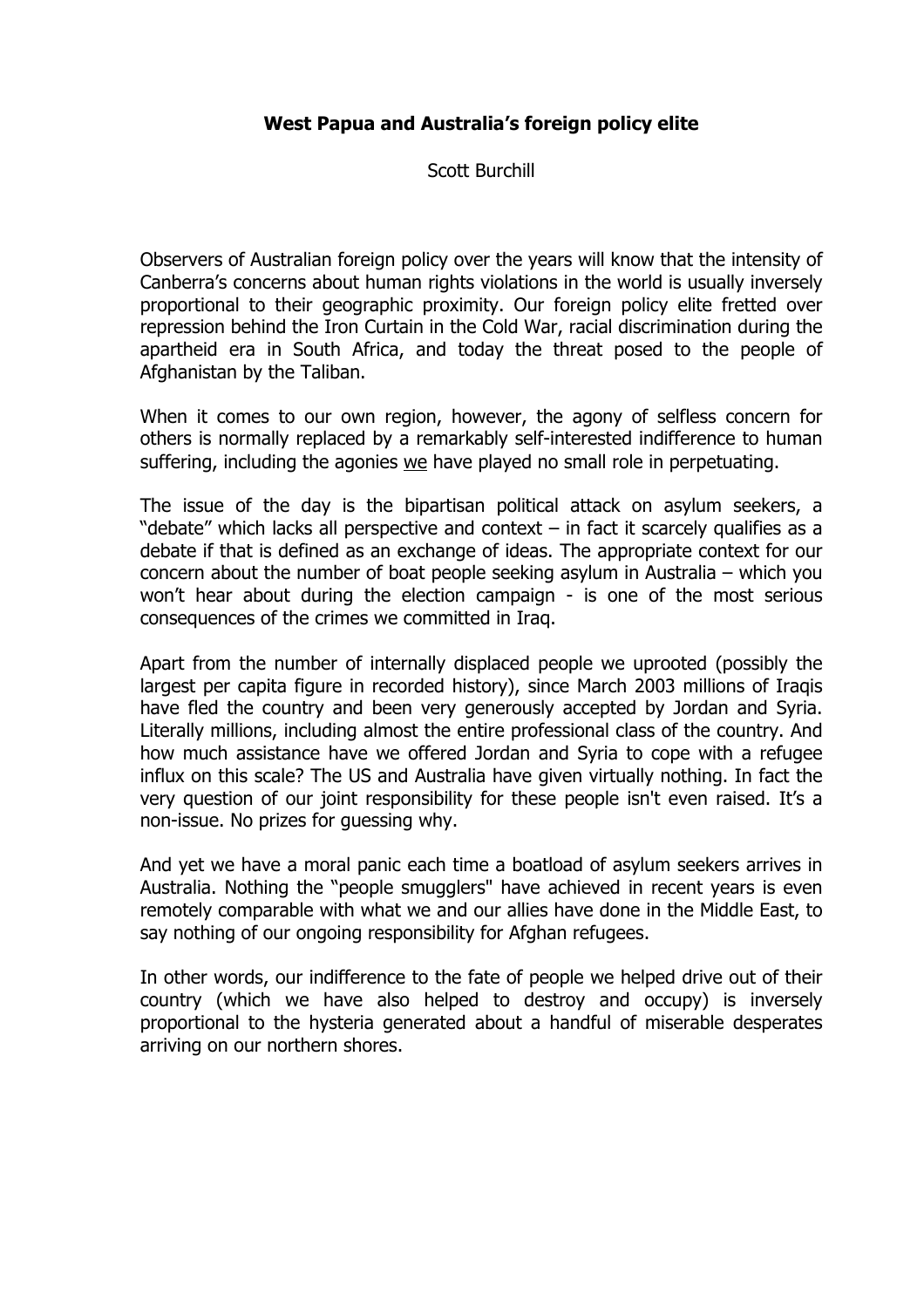# **West Papua and Australia's foreign policy elite**

Scott Burchill

Observers of Australian foreign policy over the years will know that the intensity of Canberra's concerns about human rights violations in the world is usually inversely proportional to their geographic proximity. Our foreign policy elite fretted over repression behind the Iron Curtain in the Cold War, racial discrimination during the apartheid era in South Africa, and today the threat posed to the people of Afghanistan by the Taliban.

When it comes to our own region, however, the agony of selfless concern for others is normally replaced by a remarkably self-interested indifference to human suffering, including the agonies we have played no small role in perpetuating.

The issue of the day is the bipartisan political attack on asylum seekers, a "debate" which lacks all perspective and context – in fact it scarcely qualifies as a debate if that is defined as an exchange of ideas. The appropriate context for our concern about the number of boat people seeking asylum in Australia – which you won't hear about during the election campaign - is one of the most serious consequences of the crimes we committed in Iraq.

Apart from the number of internally displaced people we uprooted (possibly the largest per capita figure in recorded history), since March 2003 millions of Iraqis have fled the country and been very generously accepted by Jordan and Syria. Literally millions, including almost the entire professional class of the country. And how much assistance have we offered Jordan and Syria to cope with a refugee influx on this scale? The US and Australia have given virtually nothing. In fact the very question of our joint responsibility for these people isn't even raised. It's a non-issue. No prizes for guessing why.

And yet we have a moral panic each time a boatload of asylum seekers arrives in Australia. Nothing the "people smugglers" have achieved in recent years is even remotely comparable with what we and our allies have done in the Middle East, to say nothing of our ongoing responsibility for Afghan refugees.

In other words, our indifference to the fate of people we helped drive out of their country (which we have also helped to destroy and occupy) is inversely proportional to the hysteria generated about a handful of miserable desperates arriving on our northern shores.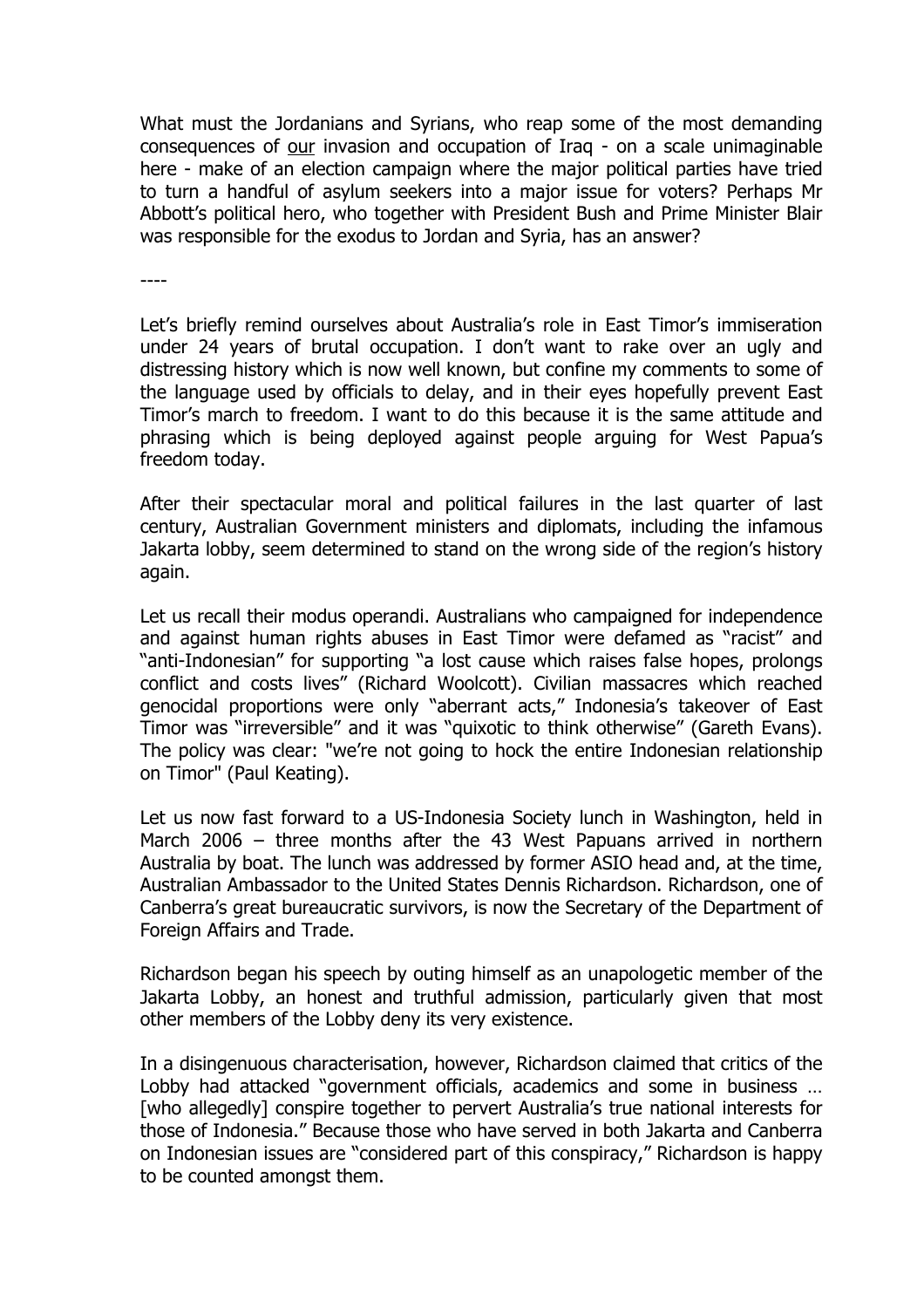What must the Jordanians and Syrians, who reap some of the most demanding consequences of our invasion and occupation of Iraq - on a scale unimaginable here - make of an election campaign where the major political parties have tried to turn a handful of asylum seekers into a major issue for voters? Perhaps Mr Abbott's political hero, who together with President Bush and Prime Minister Blair was responsible for the exodus to Jordan and Syria, has an answer?

----

Let's briefly remind ourselves about Australia's role in East Timor's immiseration under 24 years of brutal occupation. I don't want to rake over an ugly and distressing history which is now well known, but confine my comments to some of the language used by officials to delay, and in their eyes hopefully prevent East Timor's march to freedom. I want to do this because it is the same attitude and phrasing which is being deployed against people arguing for West Papua's freedom today.

After their spectacular moral and political failures in the last quarter of last century, Australian Government ministers and diplomats, including the infamous Jakarta lobby, seem determined to stand on the wrong side of the region's history again.

Let us recall their modus operandi. Australians who campaigned for independence and against human rights abuses in East Timor were defamed as "racist" and "anti-Indonesian" for supporting "a lost cause which raises false hopes, prolongs conflict and costs lives" (Richard Woolcott). Civilian massacres which reached genocidal proportions were only "aberrant acts," Indonesia's takeover of East Timor was "irreversible" and it was "quixotic to think otherwise" (Gareth Evans). The policy was clear: "we're not going to hock the entire Indonesian relationship on Timor" (Paul Keating).

Let us now fast forward to a US-Indonesia Society lunch in Washington, held in March 2006 – three months after the 43 West Papuans arrived in northern Australia by boat. The lunch was addressed by former ASIO head and, at the time, Australian Ambassador to the United States Dennis Richardson. Richardson, one of Canberra's great bureaucratic survivors, is now the Secretary of the Department of Foreign Affairs and Trade.

Richardson began his speech by outing himself as an unapologetic member of the Jakarta Lobby, an honest and truthful admission, particularly given that most other members of the Lobby deny its very existence.

In a disingenuous characterisation, however, Richardson claimed that critics of the Lobby had attacked "government officials, academics and some in business … [who allegedly] conspire together to pervert Australia's true national interests for those of Indonesia." Because those who have served in both Jakarta and Canberra on Indonesian issues are "considered part of this conspiracy," Richardson is happy to be counted amongst them.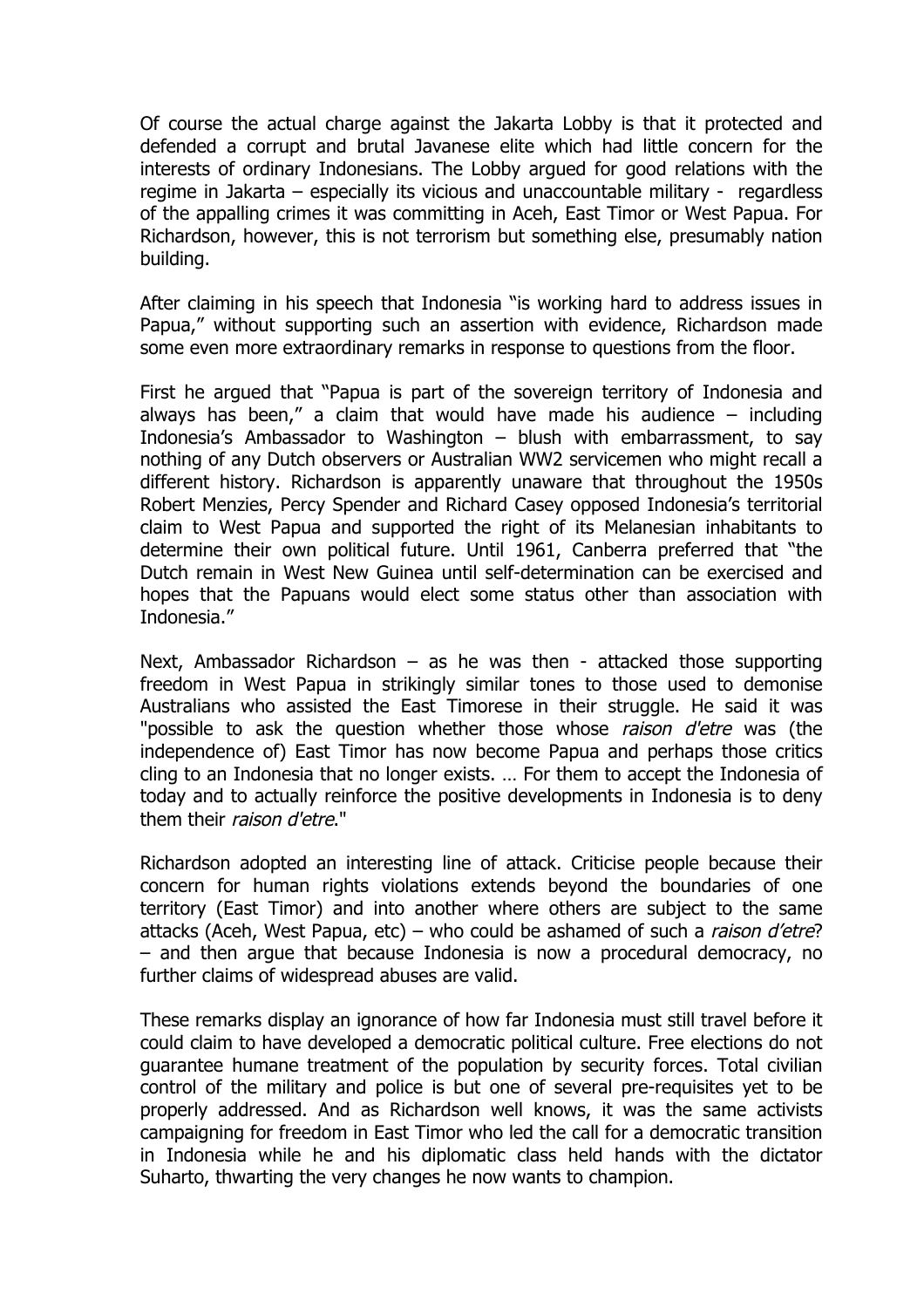Of course the actual charge against the Jakarta Lobby is that it protected and defended a corrupt and brutal Javanese elite which had little concern for the interests of ordinary Indonesians. The Lobby argued for good relations with the regime in Jakarta – especially its vicious and unaccountable military - regardless of the appalling crimes it was committing in Aceh, East Timor or West Papua. For Richardson, however, this is not terrorism but something else, presumably nation building.

After claiming in his speech that Indonesia "is working hard to address issues in Papua," without supporting such an assertion with evidence, Richardson made some even more extraordinary remarks in response to questions from the floor.

First he argued that "Papua is part of the sovereign territory of Indonesia and always has been," a claim that would have made his audience  $-$  including Indonesia's Ambassador to Washington – blush with embarrassment, to say nothing of any Dutch observers or Australian WW2 servicemen who might recall a different history. Richardson is apparently unaware that throughout the 1950s Robert Menzies, Percy Spender and Richard Casey opposed Indonesia's territorial claim to West Papua and supported the right of its Melanesian inhabitants to determine their own political future. Until 1961, Canberra preferred that "the Dutch remain in West New Guinea until self-determination can be exercised and hopes that the Papuans would elect some status other than association with Indonesia."

Next, Ambassador Richardson – as he was then - attacked those supporting freedom in West Papua in strikingly similar tones to those used to demonise Australians who assisted the East Timorese in their struggle. He said it was "possible to ask the question whether those whose raison d'etre was (the independence of) East Timor has now become Papua and perhaps those critics cling to an Indonesia that no longer exists. … For them to accept the Indonesia of today and to actually reinforce the positive developments in Indonesia is to deny them their raison d'etre."

Richardson adopted an interesting line of attack. Criticise people because their concern for human rights violations extends beyond the boundaries of one territory (East Timor) and into another where others are subject to the same attacks (Aceh, West Papua, etc) – who could be ashamed of such a *raison d'etre*? – and then argue that because Indonesia is now a procedural democracy, no further claims of widespread abuses are valid.

These remarks display an ignorance of how far Indonesia must still travel before it could claim to have developed a democratic political culture. Free elections do not guarantee humane treatment of the population by security forces. Total civilian control of the military and police is but one of several pre-requisites yet to be properly addressed. And as Richardson well knows, it was the same activists campaigning for freedom in East Timor who led the call for a democratic transition in Indonesia while he and his diplomatic class held hands with the dictator Suharto, thwarting the very changes he now wants to champion.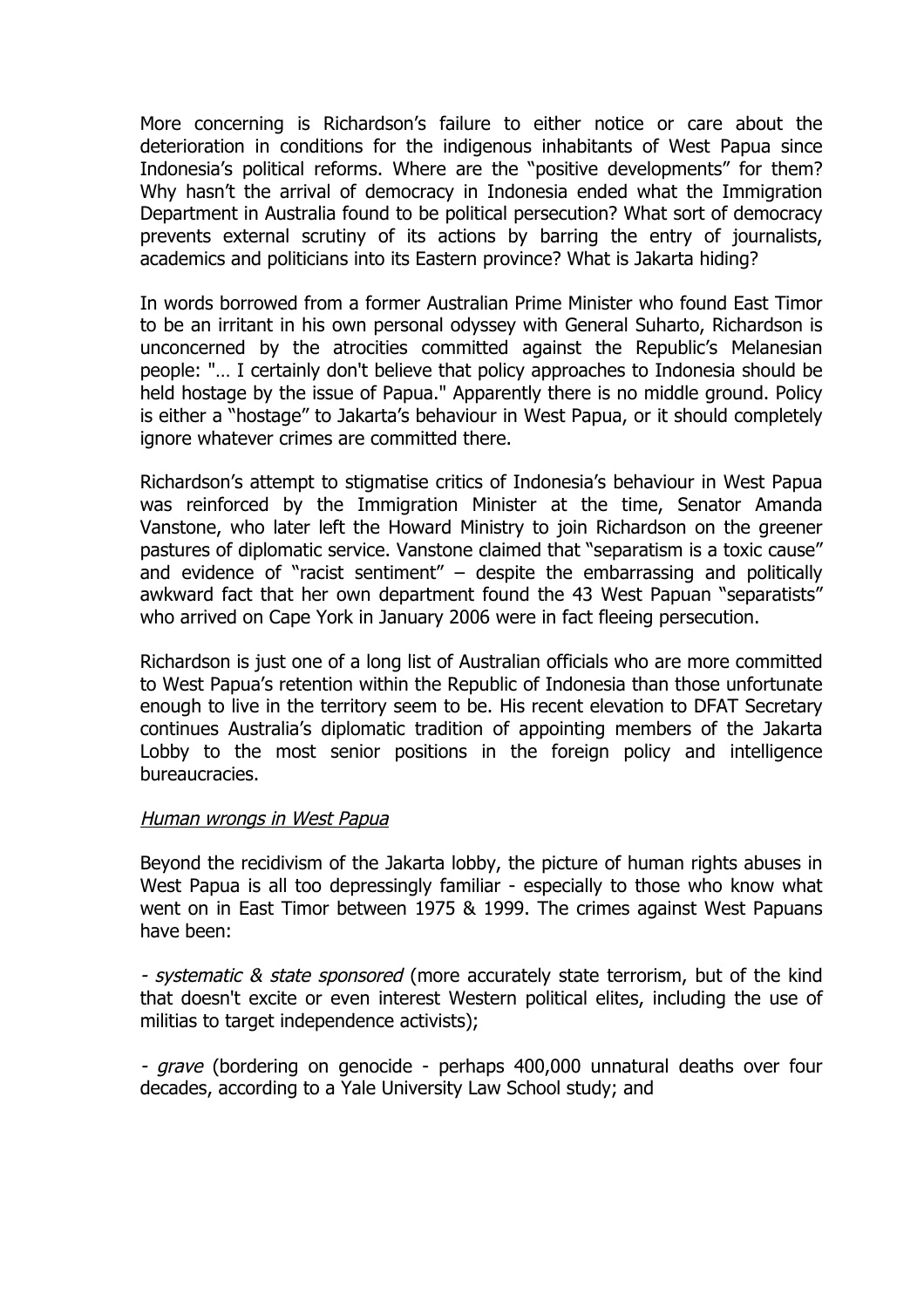More concerning is Richardson's failure to either notice or care about the deterioration in conditions for the indigenous inhabitants of West Papua since Indonesia's political reforms. Where are the "positive developments" for them? Why hasn't the arrival of democracy in Indonesia ended what the Immigration Department in Australia found to be political persecution? What sort of democracy prevents external scrutiny of its actions by barring the entry of journalists, academics and politicians into its Eastern province? What is Jakarta hiding?

In words borrowed from a former Australian Prime Minister who found East Timor to be an irritant in his own personal odyssey with General Suharto, Richardson is unconcerned by the atrocities committed against the Republic's Melanesian people: "… I certainly don't believe that policy approaches to Indonesia should be held hostage by the issue of Papua." Apparently there is no middle ground. Policy is either a "hostage" to Jakarta's behaviour in West Papua, or it should completely ignore whatever crimes are committed there.

Richardson's attempt to stigmatise critics of Indonesia's behaviour in West Papua was reinforced by the Immigration Minister at the time, Senator Amanda Vanstone, who later left the Howard Ministry to join Richardson on the greener pastures of diplomatic service. Vanstone claimed that "separatism is a toxic cause" and evidence of "racist sentiment"  $-$  despite the embarrassing and politically awkward fact that her own department found the 43 West Papuan "separatists" who arrived on Cape York in January 2006 were in fact fleeing persecution.

Richardson is just one of a long list of Australian officials who are more committed to West Papua's retention within the Republic of Indonesia than those unfortunate enough to live in the territory seem to be. His recent elevation to DFAT Secretary continues Australia's diplomatic tradition of appointing members of the Jakarta Lobby to the most senior positions in the foreign policy and intelligence bureaucracies.

#### Human wrongs in West Papua

Beyond the recidivism of the Jakarta lobby, the picture of human rights abuses in West Papua is all too depressingly familiar - especially to those who know what went on in East Timor between 1975 & 1999. The crimes against West Papuans have been:

- systematic & state sponsored (more accurately state terrorism, but of the kind that doesn't excite or even interest Western political elites, including the use of militias to target independence activists);

- *grave* (bordering on genocide - perhaps 400,000 unnatural deaths over four decades, according to a Yale University Law School study; and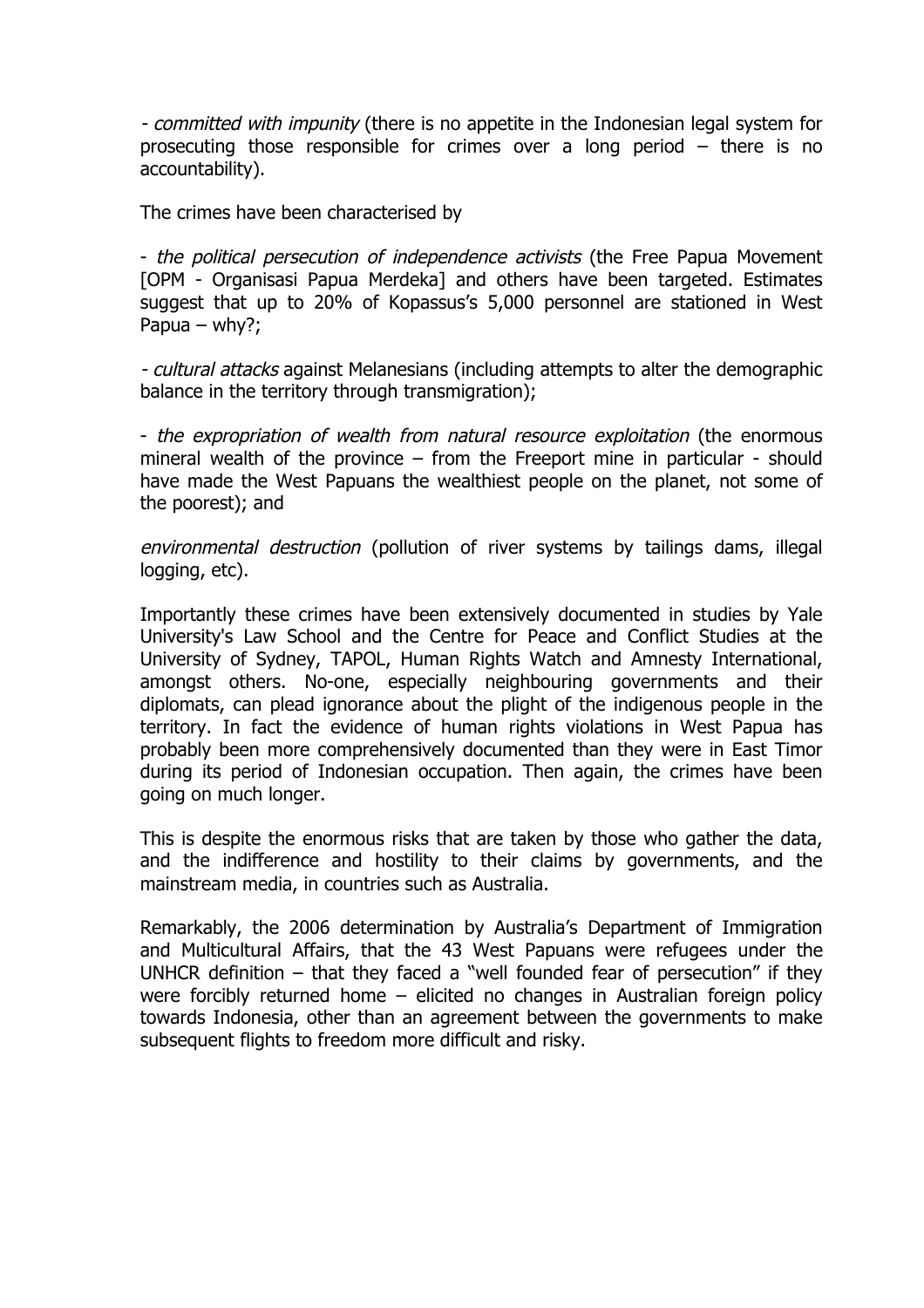- committed with impunity (there is no appetite in the Indonesian legal system for prosecuting those responsible for crimes over a long period – there is no accountability).

The crimes have been characterised by

- the political persecution of independence activists (the Free Papua Movement [OPM - Organisasi Papua Merdeka] and others have been targeted. Estimates suggest that up to 20% of Kopassus's 5,000 personnel are stationed in West Papua – why?;

- cultural attacks against Melanesians (including attempts to alter the demographic balance in the territory through transmigration);

- the expropriation of wealth from natural resource exploitation (the enormous mineral wealth of the province – from the Freeport mine in particular - should have made the West Papuans the wealthiest people on the planet, not some of the poorest); and

environmental destruction (pollution of river systems by tailings dams, illegal logging, etc).

Importantly these crimes have been extensively documented in studies by Yale University's Law School and the Centre for Peace and Conflict Studies at the University of Sydney, TAPOL, Human Rights Watch and Amnesty International, amongst others. No-one, especially neighbouring governments and their diplomats, can plead ignorance about the plight of the indigenous people in the territory. In fact the evidence of human rights violations in West Papua has probably been more comprehensively documented than they were in East Timor during its period of Indonesian occupation. Then again, the crimes have been going on much longer.

This is despite the enormous risks that are taken by those who gather the data, and the indifference and hostility to their claims by governments, and the mainstream media, in countries such as Australia.

Remarkably, the 2006 determination by Australia's Department of Immigration and Multicultural Affairs, that the 43 West Papuans were refugees under the UNHCR definition – that they faced a "well founded fear of persecution" if they were forcibly returned home – elicited no changes in Australian foreign policy towards Indonesia, other than an agreement between the governments to make subsequent flights to freedom more difficult and risky.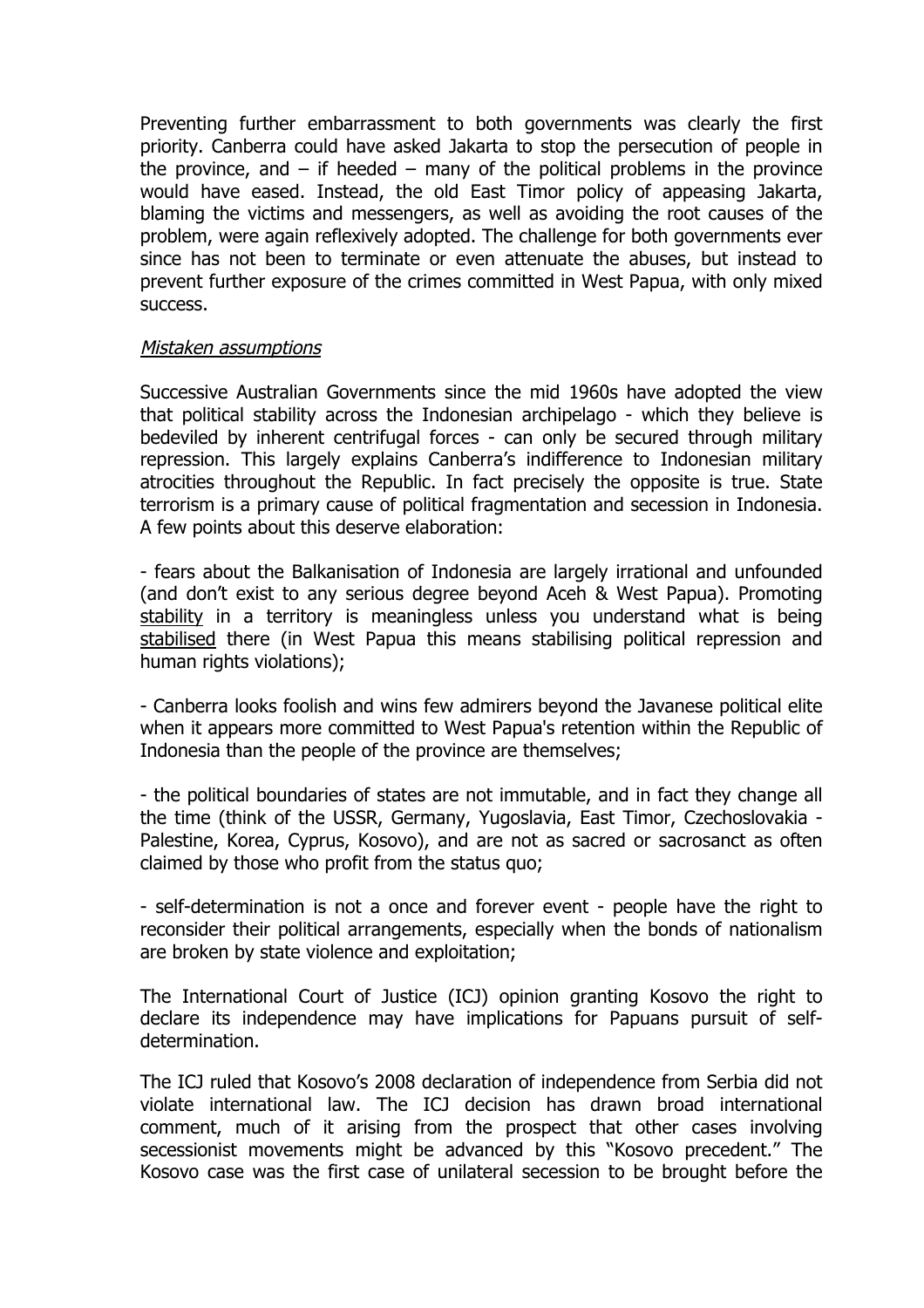Preventing further embarrassment to both governments was clearly the first priority. Canberra could have asked Jakarta to stop the persecution of people in the province, and  $-$  if heeded  $-$  many of the political problems in the province would have eased. Instead, the old East Timor policy of appeasing Jakarta, blaming the victims and messengers, as well as avoiding the root causes of the problem, were again reflexively adopted. The challenge for both governments ever since has not been to terminate or even attenuate the abuses, but instead to prevent further exposure of the crimes committed in West Papua, with only mixed success.

#### Mistaken assumptions

Successive Australian Governments since the mid 1960s have adopted the view that political stability across the Indonesian archipelago - which they believe is bedeviled by inherent centrifugal forces - can only be secured through military repression. This largely explains Canberra's indifference to Indonesian military atrocities throughout the Republic. In fact precisely the opposite is true. State terrorism is a primary cause of political fragmentation and secession in Indonesia. A few points about this deserve elaboration:

- fears about the Balkanisation of Indonesia are largely irrational and unfounded (and don't exist to any serious degree beyond Aceh & West Papua). Promoting stability in a territory is meaningless unless you understand what is being stabilised there (in West Papua this means stabilising political repression and human rights violations);

- Canberra looks foolish and wins few admirers beyond the Javanese political elite when it appears more committed to West Papua's retention within the Republic of Indonesia than the people of the province are themselves;

- the political boundaries of states are not immutable, and in fact they change all the time (think of the USSR, Germany, Yugoslavia, East Timor, Czechoslovakia - Palestine, Korea, Cyprus, Kosovo), and are not as sacred or sacrosanct as often claimed by those who profit from the status quo;

- self-determination is not a once and forever event - people have the right to reconsider their political arrangements, especially when the bonds of nationalism are broken by state violence and exploitation;

The International Court of Justice (ICJ) opinion granting Kosovo the right to declare its independence may have implications for Papuans pursuit of selfdetermination.

The ICJ ruled that Kosovo's 2008 declaration of independence from Serbia did not violate international law. The ICJ decision has drawn broad international comment, much of it arising from the prospect that other cases involving secessionist movements might be advanced by this "Kosovo precedent." The Kosovo case was the first case of unilateral secession to be brought before the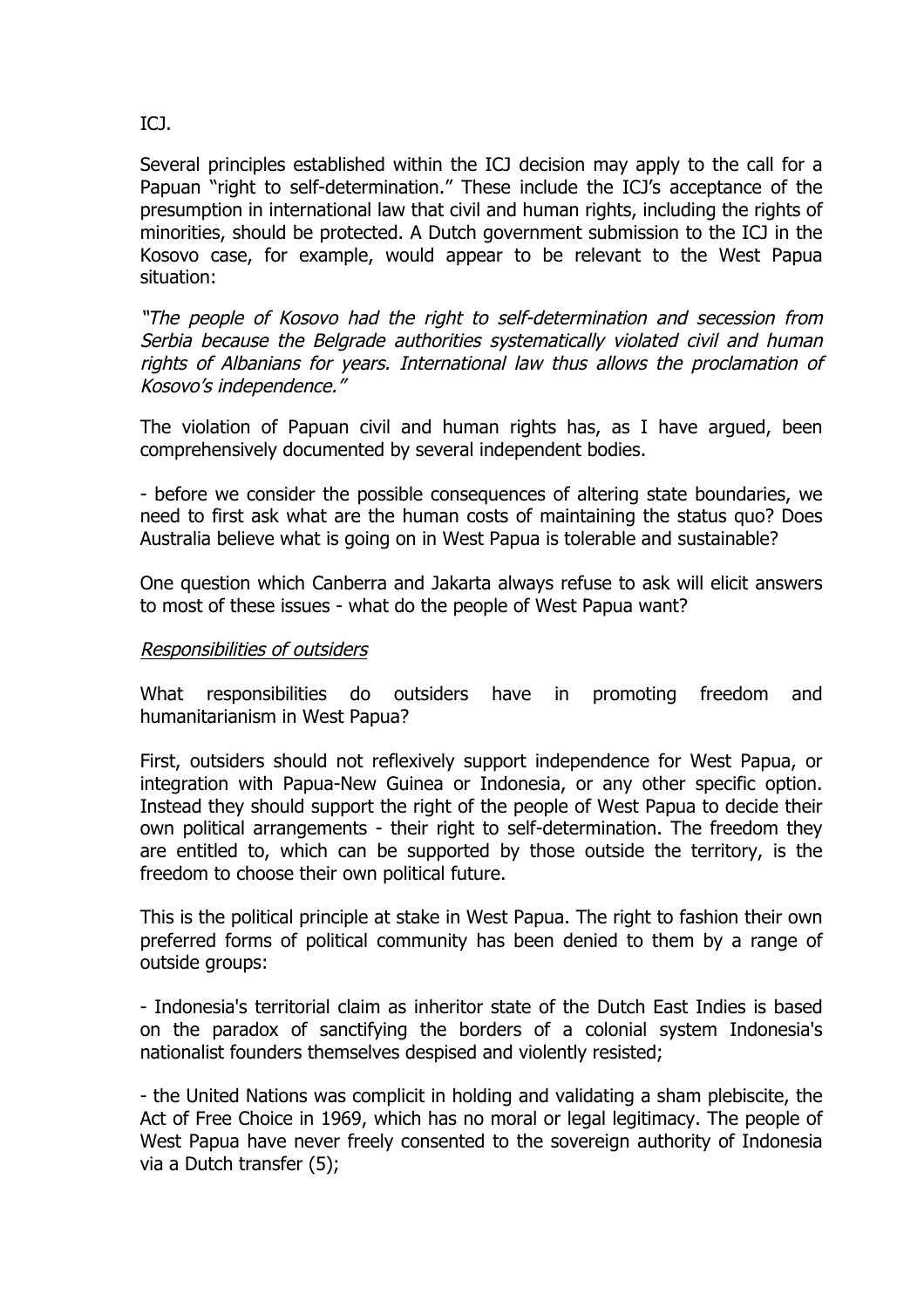# ICJ.

Several principles established within the ICJ decision may apply to the call for a Papuan "right to self-determination." These include the ICJ's acceptance of the presumption in international law that civil and human rights, including the rights of minorities, should be protected. A Dutch government submission to the ICJ in the Kosovo case, for example, would appear to be relevant to the West Papua situation:

"The people of Kosovo had the right to self-determination and secession from Serbia because the Belgrade authorities systematically violated civil and human rights of Albanians for years. International law thus allows the proclamation of Kosovo's independence."

The violation of Papuan civil and human rights has, as I have argued, been comprehensively documented by several independent bodies.

- before we consider the possible consequences of altering state boundaries, we need to first ask what are the human costs of maintaining the status quo? Does Australia believe what is going on in West Papua is tolerable and sustainable?

One question which Canberra and Jakarta always refuse to ask will elicit answers to most of these issues - what do the people of West Papua want?

### Responsibilities of outsiders

What responsibilities do outsiders have in promoting freedom and humanitarianism in West Papua?

First, outsiders should not reflexively support independence for West Papua, or integration with Papua-New Guinea or Indonesia, or any other specific option. Instead they should support the right of the people of West Papua to decide their own political arrangements - their right to self-determination. The freedom they are entitled to, which can be supported by those outside the territory, is the freedom to choose their own political future.

This is the political principle at stake in West Papua. The right to fashion their own preferred forms of political community has been denied to them by a range of outside groups:

- Indonesia's territorial claim as inheritor state of the Dutch East Indies is based on the paradox of sanctifying the borders of a colonial system Indonesia's nationalist founders themselves despised and violently resisted;

- the United Nations was complicit in holding and validating a sham plebiscite, the Act of Free Choice in 1969, which has no moral or legal legitimacy. The people of West Papua have never freely consented to the sovereign authority of Indonesia via a Dutch transfer (5);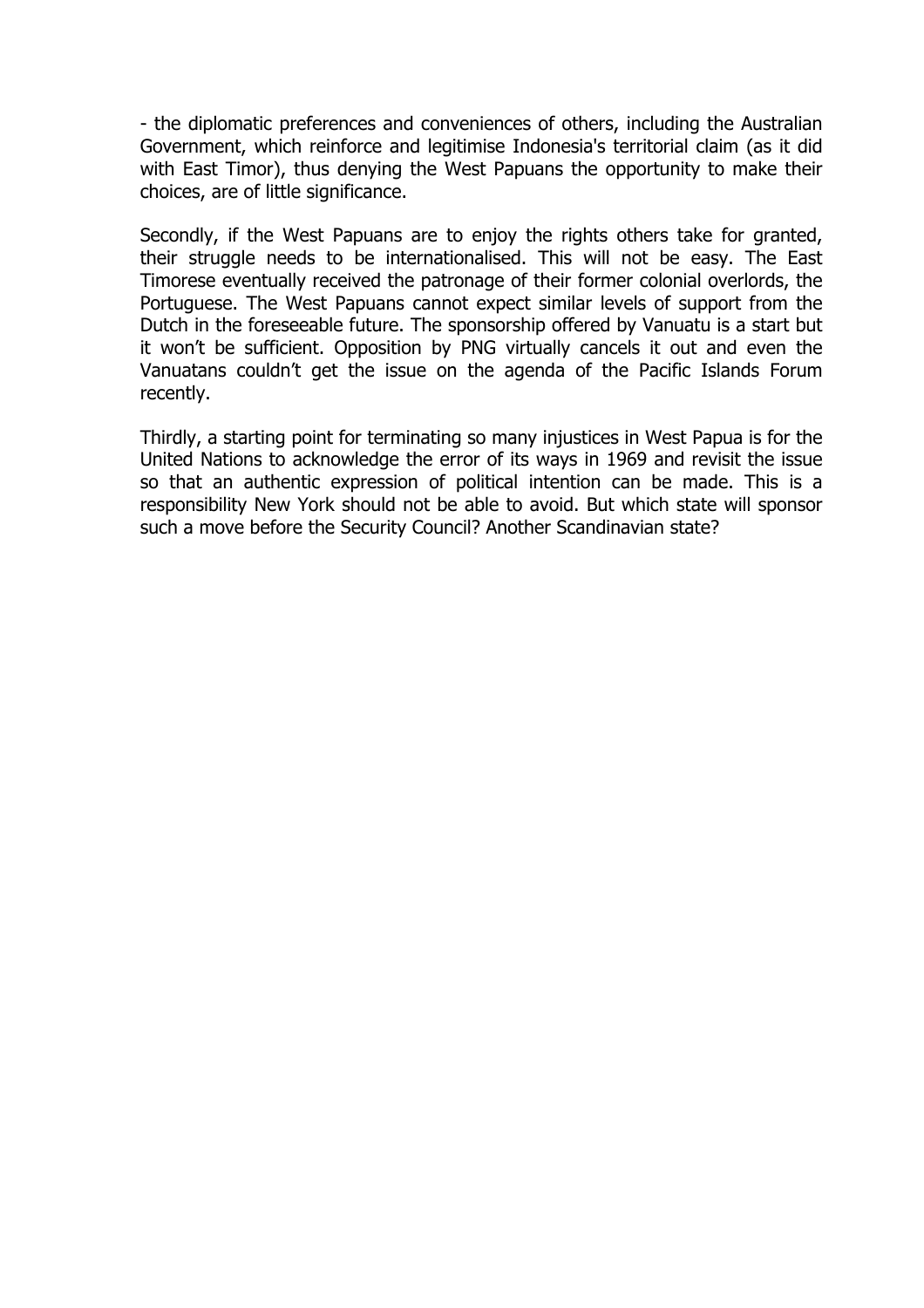- the diplomatic preferences and conveniences of others, including the Australian Government, which reinforce and legitimise Indonesia's territorial claim (as it did with East Timor), thus denying the West Papuans the opportunity to make their choices, are of little significance.

Secondly, if the West Papuans are to enjoy the rights others take for granted, their struggle needs to be internationalised. This will not be easy. The East Timorese eventually received the patronage of their former colonial overlords, the Portuguese. The West Papuans cannot expect similar levels of support from the Dutch in the foreseeable future. The sponsorship offered by Vanuatu is a start but it won't be sufficient. Opposition by PNG virtually cancels it out and even the Vanuatans couldn't get the issue on the agenda of the Pacific Islands Forum recently.

Thirdly, a starting point for terminating so many injustices in West Papua is for the United Nations to acknowledge the error of its ways in 1969 and revisit the issue so that an authentic expression of political intention can be made. This is a responsibility New York should not be able to avoid. But which state will sponsor such a move before the Security Council? Another Scandinavian state?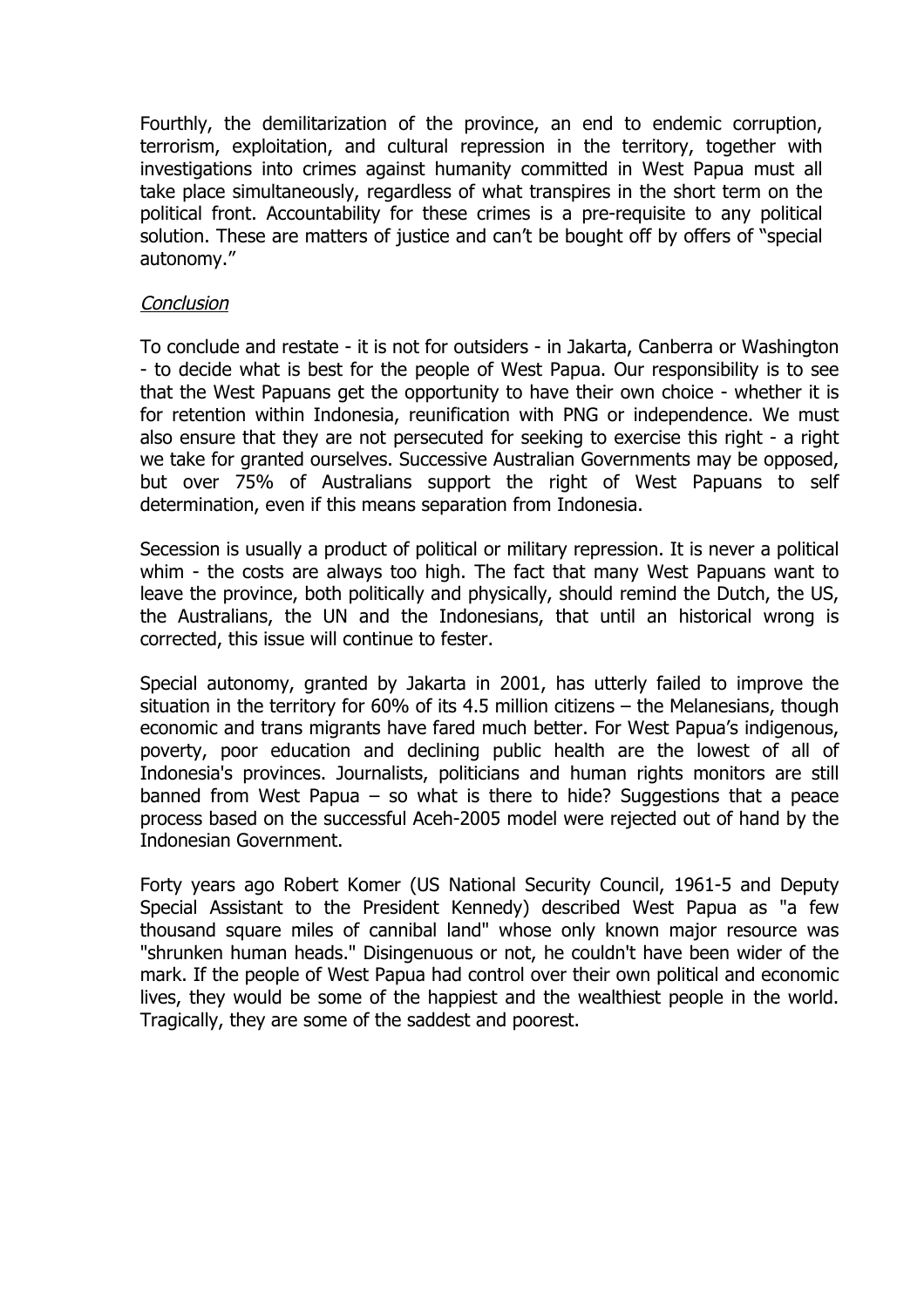Fourthly, the demilitarization of the province, an end to endemic corruption, terrorism, exploitation, and cultural repression in the territory, together with investigations into crimes against humanity committed in West Papua must all take place simultaneously, regardless of what transpires in the short term on the political front. Accountability for these crimes is a pre-requisite to any political solution. These are matters of justice and can't be bought off by offers of "special autonomy."

### **Conclusion**

To conclude and restate - it is not for outsiders - in Jakarta, Canberra or Washington - to decide what is best for the people of West Papua. Our responsibility is to see that the West Papuans get the opportunity to have their own choice - whether it is for retention within Indonesia, reunification with PNG or independence. We must also ensure that they are not persecuted for seeking to exercise this right - a right we take for granted ourselves. Successive Australian Governments may be opposed, but over 75% of Australians support the right of West Papuans to self determination, even if this means separation from Indonesia.

Secession is usually a product of political or military repression. It is never a political whim - the costs are always too high. The fact that many West Papuans want to leave the province, both politically and physically, should remind the Dutch, the US, the Australians, the UN and the Indonesians, that until an historical wrong is corrected, this issue will continue to fester.

Special autonomy, granted by Jakarta in 2001, has utterly failed to improve the situation in the territory for 60% of its 4.5 million citizens – the Melanesians, though economic and trans migrants have fared much better. For West Papua's indigenous, poverty, poor education and declining public health are the lowest of all of Indonesia's provinces. Journalists, politicians and human rights monitors are still banned from West Papua  $-$  so what is there to hide? Suggestions that a peace process based on the successful Aceh-2005 model were rejected out of hand by the Indonesian Government.

Forty years ago Robert Komer (US National Security Council, 1961-5 and Deputy Special Assistant to the President Kennedy) described West Papua as "a few thousand square miles of cannibal land" whose only known major resource was "shrunken human heads." Disingenuous or not, he couldn't have been wider of the mark. If the people of West Papua had control over their own political and economic lives, they would be some of the happiest and the wealthiest people in the world. Tragically, they are some of the saddest and poorest.